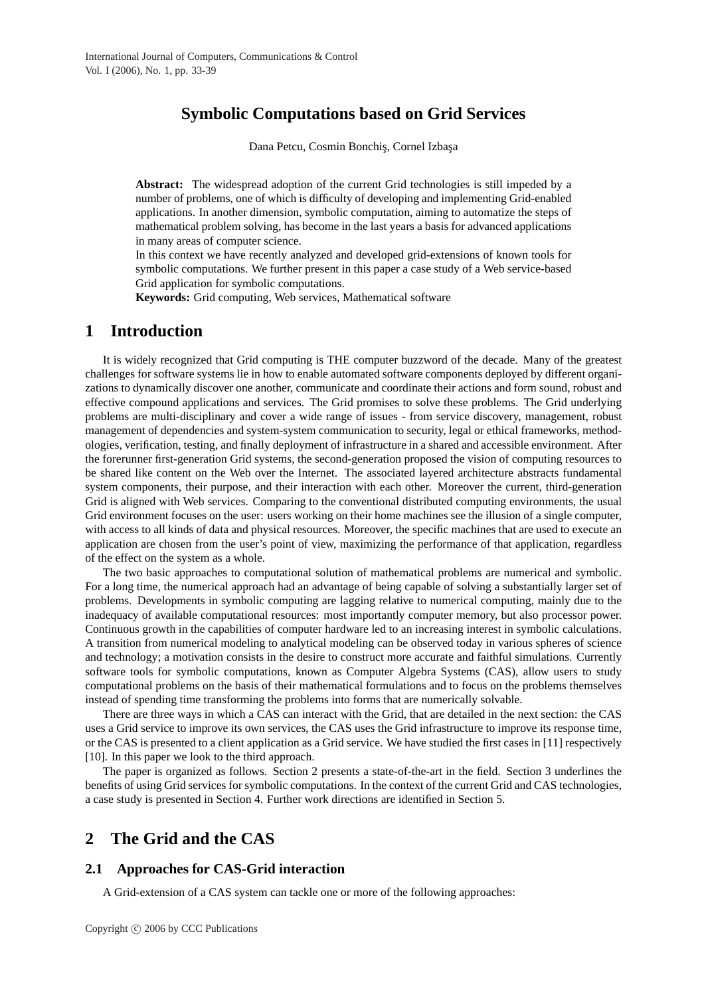# **Symbolic Computations based on Grid Services**

Dana Petcu, Cosmin Bonchiş, Cornel Izbaşa

**Abstract:** The widespread adoption of the current Grid technologies is still impeded by a number of problems, one of which is difficulty of developing and implementing Grid-enabled applications. In another dimension, symbolic computation, aiming to automatize the steps of mathematical problem solving, has become in the last years a basis for advanced applications in many areas of computer science.

In this context we have recently analyzed and developed grid-extensions of known tools for symbolic computations. We further present in this paper a case study of a Web service-based Grid application for symbolic computations.

**Keywords:** Grid computing, Web services, Mathematical software

### **1 Introduction**

It is widely recognized that Grid computing is THE computer buzzword of the decade. Many of the greatest challenges for software systems lie in how to enable automated software components deployed by different organizations to dynamically discover one another, communicate and coordinate their actions and form sound, robust and effective compound applications and services. The Grid promises to solve these problems. The Grid underlying problems are multi-disciplinary and cover a wide range of issues - from service discovery, management, robust management of dependencies and system-system communication to security, legal or ethical frameworks, methodologies, verification, testing, and finally deployment of infrastructure in a shared and accessible environment. After the forerunner first-generation Grid systems, the second-generation proposed the vision of computing resources to be shared like content on the Web over the Internet. The associated layered architecture abstracts fundamental system components, their purpose, and their interaction with each other. Moreover the current, third-generation Grid is aligned with Web services. Comparing to the conventional distributed computing environments, the usual Grid environment focuses on the user: users working on their home machines see the illusion of a single computer, with access to all kinds of data and physical resources. Moreover, the specific machines that are used to execute an application are chosen from the user's point of view, maximizing the performance of that application, regardless of the effect on the system as a whole.

The two basic approaches to computational solution of mathematical problems are numerical and symbolic. For a long time, the numerical approach had an advantage of being capable of solving a substantially larger set of problems. Developments in symbolic computing are lagging relative to numerical computing, mainly due to the inadequacy of available computational resources: most importantly computer memory, but also processor power. Continuous growth in the capabilities of computer hardware led to an increasing interest in symbolic calculations. A transition from numerical modeling to analytical modeling can be observed today in various spheres of science and technology; a motivation consists in the desire to construct more accurate and faithful simulations. Currently software tools for symbolic computations, known as Computer Algebra Systems (CAS), allow users to study computational problems on the basis of their mathematical formulations and to focus on the problems themselves instead of spending time transforming the problems into forms that are numerically solvable.

There are three ways in which a CAS can interact with the Grid, that are detailed in the next section: the CAS uses a Grid service to improve its own services, the CAS uses the Grid infrastructure to improve its response time, or the CAS is presented to a client application as a Grid service. We have studied the first cases in [11] respectively [10]. In this paper we look to the third approach.

The paper is organized as follows. Section 2 presents a state-of-the-art in the field. Section 3 underlines the benefits of using Grid services for symbolic computations. In the context of the current Grid and CAS technologies, a case study is presented in Section 4. Further work directions are identified in Section 5.

# **2 The Grid and the CAS**

### **2.1 Approaches for CAS-Grid interaction**

A Grid-extension of a CAS system can tackle one or more of the following approaches: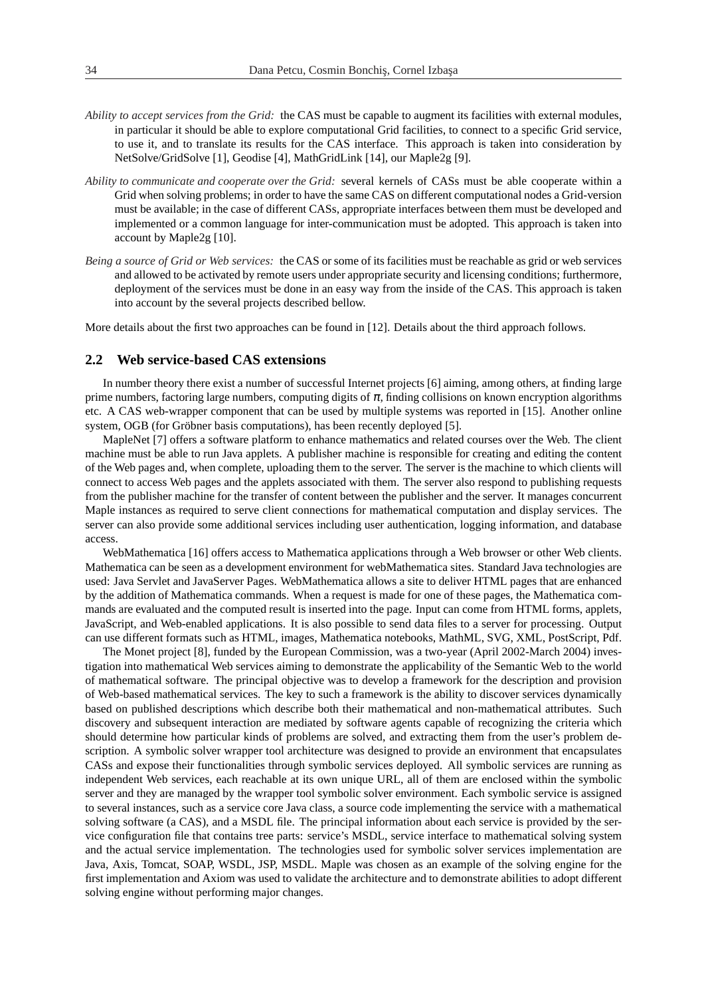- *Ability to accept services from the Grid:* the CAS must be capable to augment its facilities with external modules, in particular it should be able to explore computational Grid facilities, to connect to a specific Grid service, to use it, and to translate its results for the CAS interface. This approach is taken into consideration by NetSolve/GridSolve [1], Geodise [4], MathGridLink [14], our Maple2g [9].
- *Ability to communicate and cooperate over the Grid:* several kernels of CASs must be able cooperate within a Grid when solving problems; in order to have the same CAS on different computational nodes a Grid-version must be available; in the case of different CASs, appropriate interfaces between them must be developed and implemented or a common language for inter-communication must be adopted. This approach is taken into account by Maple2g [10].
- *Being a source of Grid or Web services:* the CAS or some of its facilities must be reachable as grid or web services and allowed to be activated by remote users under appropriate security and licensing conditions; furthermore, deployment of the services must be done in an easy way from the inside of the CAS. This approach is taken into account by the several projects described bellow.

More details about the first two approaches can be found in [12]. Details about the third approach follows.

### **2.2 Web service-based CAS extensions**

In number theory there exist a number of successful Internet projects [6] aiming, among others, at finding large prime numbers, factoring large numbers, computing digits of  $\pi$ , finding collisions on known encryption algorithms etc. A CAS web-wrapper component that can be used by multiple systems was reported in [15]. Another online system, OGB (for Gröbner basis computations), has been recently deployed [5].

MapleNet [7] offers a software platform to enhance mathematics and related courses over the Web. The client machine must be able to run Java applets. A publisher machine is responsible for creating and editing the content of the Web pages and, when complete, uploading them to the server. The server is the machine to which clients will connect to access Web pages and the applets associated with them. The server also respond to publishing requests from the publisher machine for the transfer of content between the publisher and the server. It manages concurrent Maple instances as required to serve client connections for mathematical computation and display services. The server can also provide some additional services including user authentication, logging information, and database access.

WebMathematica [16] offers access to Mathematica applications through a Web browser or other Web clients. Mathematica can be seen as a development environment for webMathematica sites. Standard Java technologies are used: Java Servlet and JavaServer Pages. WebMathematica allows a site to deliver HTML pages that are enhanced by the addition of Mathematica commands. When a request is made for one of these pages, the Mathematica commands are evaluated and the computed result is inserted into the page. Input can come from HTML forms, applets, JavaScript, and Web-enabled applications. It is also possible to send data files to a server for processing. Output can use different formats such as HTML, images, Mathematica notebooks, MathML, SVG, XML, PostScript, Pdf.

The Monet project [8], funded by the European Commission, was a two-year (April 2002-March 2004) investigation into mathematical Web services aiming to demonstrate the applicability of the Semantic Web to the world of mathematical software. The principal objective was to develop a framework for the description and provision of Web-based mathematical services. The key to such a framework is the ability to discover services dynamically based on published descriptions which describe both their mathematical and non-mathematical attributes. Such discovery and subsequent interaction are mediated by software agents capable of recognizing the criteria which should determine how particular kinds of problems are solved, and extracting them from the user's problem description. A symbolic solver wrapper tool architecture was designed to provide an environment that encapsulates CASs and expose their functionalities through symbolic services deployed. All symbolic services are running as independent Web services, each reachable at its own unique URL, all of them are enclosed within the symbolic server and they are managed by the wrapper tool symbolic solver environment. Each symbolic service is assigned to several instances, such as a service core Java class, a source code implementing the service with a mathematical solving software (a CAS), and a MSDL file. The principal information about each service is provided by the service configuration file that contains tree parts: service's MSDL, service interface to mathematical solving system and the actual service implementation. The technologies used for symbolic solver services implementation are Java, Axis, Tomcat, SOAP, WSDL, JSP, MSDL. Maple was chosen as an example of the solving engine for the first implementation and Axiom was used to validate the architecture and to demonstrate abilities to adopt different solving engine without performing major changes.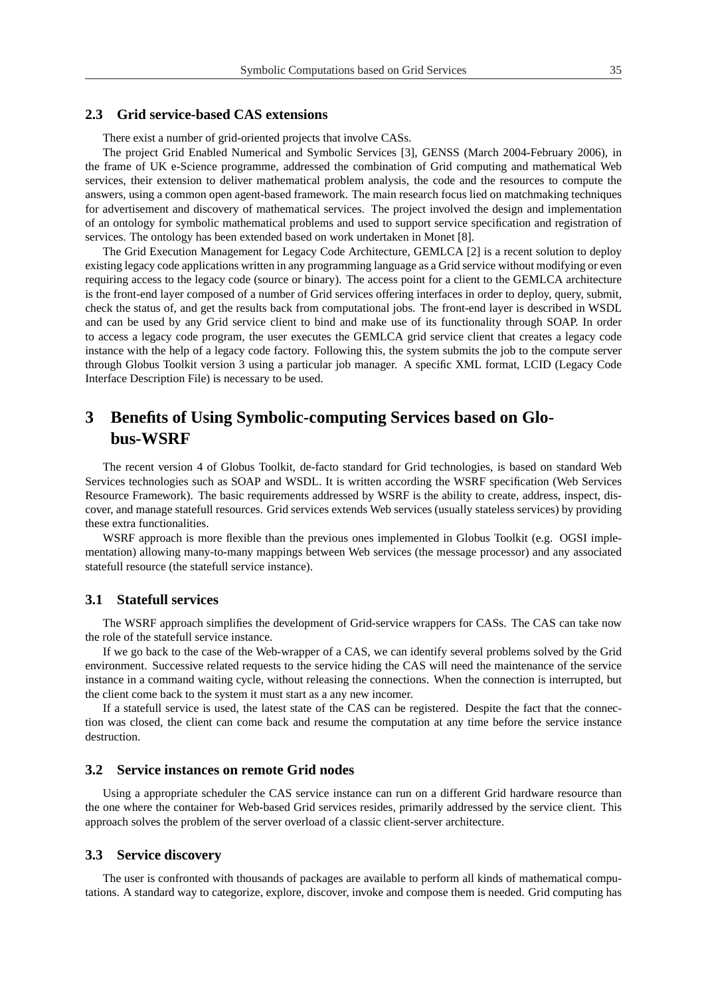#### **2.3 Grid service-based CAS extensions**

There exist a number of grid-oriented projects that involve CASs.

The project Grid Enabled Numerical and Symbolic Services [3], GENSS (March 2004-February 2006), in the frame of UK e-Science programme, addressed the combination of Grid computing and mathematical Web services, their extension to deliver mathematical problem analysis, the code and the resources to compute the answers, using a common open agent-based framework. The main research focus lied on matchmaking techniques for advertisement and discovery of mathematical services. The project involved the design and implementation of an ontology for symbolic mathematical problems and used to support service specification and registration of services. The ontology has been extended based on work undertaken in Monet [8].

The Grid Execution Management for Legacy Code Architecture, GEMLCA [2] is a recent solution to deploy existing legacy code applications written in any programming language as a Grid service without modifying or even requiring access to the legacy code (source or binary). The access point for a client to the GEMLCA architecture is the front-end layer composed of a number of Grid services offering interfaces in order to deploy, query, submit, check the status of, and get the results back from computational jobs. The front-end layer is described in WSDL and can be used by any Grid service client to bind and make use of its functionality through SOAP. In order to access a legacy code program, the user executes the GEMLCA grid service client that creates a legacy code instance with the help of a legacy code factory. Following this, the system submits the job to the compute server through Globus Toolkit version 3 using a particular job manager. A specific XML format, LCID (Legacy Code Interface Description File) is necessary to be used.

# **3 Benefits of Using Symbolic-computing Services based on Globus-WSRF**

The recent version 4 of Globus Toolkit, de-facto standard for Grid technologies, is based on standard Web Services technologies such as SOAP and WSDL. It is written according the WSRF specification (Web Services Resource Framework). The basic requirements addressed by WSRF is the ability to create, address, inspect, discover, and manage statefull resources. Grid services extends Web services (usually stateless services) by providing these extra functionalities.

WSRF approach is more flexible than the previous ones implemented in Globus Toolkit (e.g. OGSI implementation) allowing many-to-many mappings between Web services (the message processor) and any associated statefull resource (the statefull service instance).

#### **3.1 Statefull services**

The WSRF approach simplifies the development of Grid-service wrappers for CASs. The CAS can take now the role of the statefull service instance.

If we go back to the case of the Web-wrapper of a CAS, we can identify several problems solved by the Grid environment. Successive related requests to the service hiding the CAS will need the maintenance of the service instance in a command waiting cycle, without releasing the connections. When the connection is interrupted, but the client come back to the system it must start as a any new incomer.

If a statefull service is used, the latest state of the CAS can be registered. Despite the fact that the connection was closed, the client can come back and resume the computation at any time before the service instance destruction.

#### **3.2 Service instances on remote Grid nodes**

Using a appropriate scheduler the CAS service instance can run on a different Grid hardware resource than the one where the container for Web-based Grid services resides, primarily addressed by the service client. This approach solves the problem of the server overload of a classic client-server architecture.

#### **3.3 Service discovery**

The user is confronted with thousands of packages are available to perform all kinds of mathematical computations. A standard way to categorize, explore, discover, invoke and compose them is needed. Grid computing has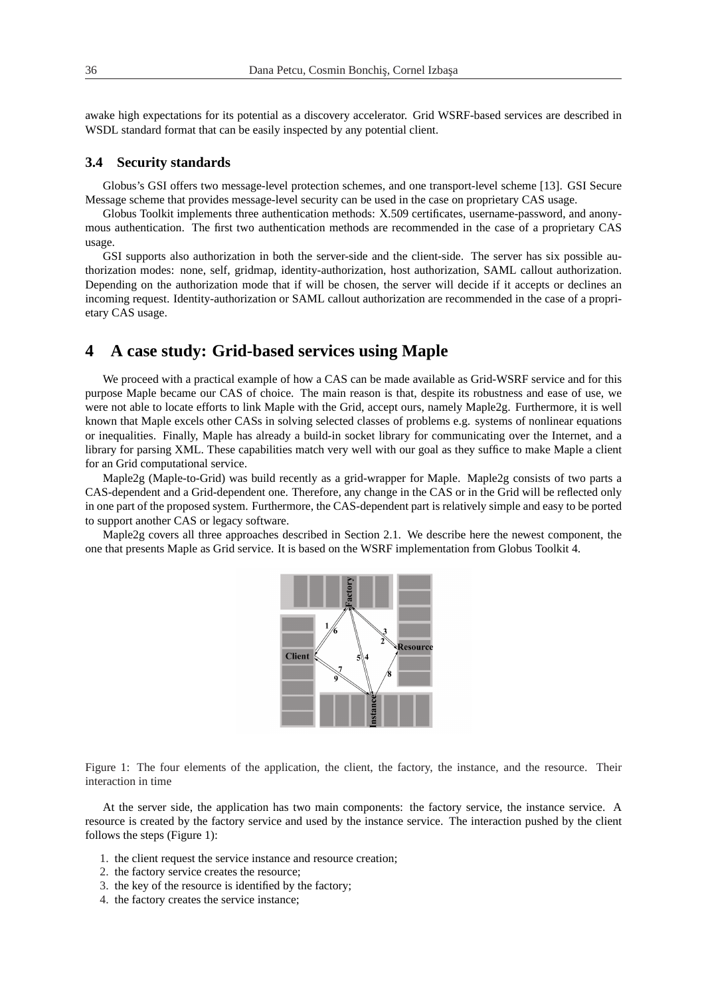awake high expectations for its potential as a discovery accelerator. Grid WSRF-based services are described in WSDL standard format that can be easily inspected by any potential client.

#### **3.4 Security standards**

Globus's GSI offers two message-level protection schemes, and one transport-level scheme [13]. GSI Secure Message scheme that provides message-level security can be used in the case on proprietary CAS usage.

Globus Toolkit implements three authentication methods: X.509 certificates, username-password, and anonymous authentication. The first two authentication methods are recommended in the case of a proprietary CAS usage.

GSI supports also authorization in both the server-side and the client-side. The server has six possible authorization modes: none, self, gridmap, identity-authorization, host authorization, SAML callout authorization. Depending on the authorization mode that if will be chosen, the server will decide if it accepts or declines an incoming request. Identity-authorization or SAML callout authorization are recommended in the case of a proprietary CAS usage.

### **4 A case study: Grid-based services using Maple**

We proceed with a practical example of how a CAS can be made available as Grid-WSRF service and for this purpose Maple became our CAS of choice. The main reason is that, despite its robustness and ease of use, we were not able to locate efforts to link Maple with the Grid, accept ours, namely Maple2g. Furthermore, it is well known that Maple excels other CASs in solving selected classes of problems e.g. systems of nonlinear equations or inequalities. Finally, Maple has already a build-in socket library for communicating over the Internet, and a library for parsing XML. These capabilities match very well with our goal as they suffice to make Maple a client for an Grid computational service.

Maple2g (Maple-to-Grid) was build recently as a grid-wrapper for Maple. Maple2g consists of two parts a CAS-dependent and a Grid-dependent one. Therefore, any change in the CAS or in the Grid will be reflected only in one part of the proposed system. Furthermore, the CAS-dependent part is relatively simple and easy to be ported to support another CAS or legacy software.

Maple2g covers all three approaches described in Section 2.1. We describe here the newest component, the one that presents Maple as Grid service. It is based on the WSRF implementation from Globus Toolkit 4.



Figure 1: The four elements of the application, the client, the factory, the instance, and the resource. Their interaction in time

At the server side, the application has two main components: the factory service, the instance service. A resource is created by the factory service and used by the instance service. The interaction pushed by the client follows the steps (Figure 1):

- 1. the client request the service instance and resource creation;
- 2. the factory service creates the resource;
- 3. the key of the resource is identified by the factory;
- 4. the factory creates the service instance;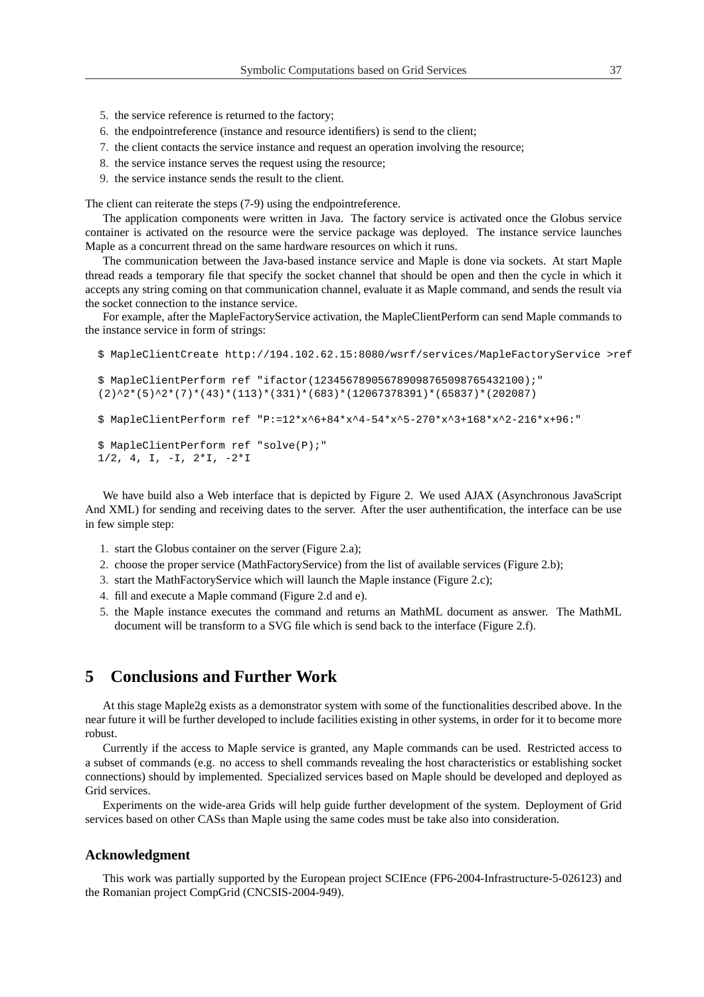- 5. the service reference is returned to the factory;
- 6. the endpointreference (instance and resource identifiers) is send to the client;
- 7. the client contacts the service instance and request an operation involving the resource;
- 8. the service instance serves the request using the resource;
- 9. the service instance sends the result to the client.

The client can reiterate the steps (7-9) using the endpointreference.

The application components were written in Java. The factory service is activated once the Globus service container is activated on the resource were the service package was deployed. The instance service launches Maple as a concurrent thread on the same hardware resources on which it runs.

The communication between the Java-based instance service and Maple is done via sockets. At start Maple thread reads a temporary file that specify the socket channel that should be open and then the cycle in which it accepts any string coming on that communication channel, evaluate it as Maple command, and sends the result via the socket connection to the instance service.

For example, after the MapleFactoryService activation, the MapleClientPerform can send Maple commands to the instance service in form of strings:

```
$ MapleClientCreate http://194.102.62.15:8080/wsrf/services/MapleFactoryService >ref
$ MapleClientPerform ref "ifactor(123456789056789098765098765432100);"
(2)^{2*(5)^{2*(7)*(43)*(113)*(331)*(683)*(12067378391)*(65837)*(202087)$ MapleClientPerform ref "P:=12*x^6+84*x^4-54*x^5-270*x^3+168*x^2-216*x+96:"
$ MapleClientPerform ref "solve(P);"
1/2, 4, I, -I, 2 \times I, -2 \times I
```
We have build also a Web interface that is depicted by Figure 2. We used AJAX (Asynchronous JavaScript And XML) for sending and receiving dates to the server. After the user authentification, the interface can be use in few simple step:

- 1. start the Globus container on the server (Figure 2.a);
- 2. choose the proper service (MathFactoryService) from the list of available services (Figure 2.b);
- 3. start the MathFactoryService which will launch the Maple instance (Figure 2.c);
- 4. fill and execute a Maple command (Figure 2.d and e).
- 5. the Maple instance executes the command and returns an MathML document as answer. The MathML document will be transform to a SVG file which is send back to the interface (Figure 2.f).

### **5 Conclusions and Further Work**

At this stage Maple2g exists as a demonstrator system with some of the functionalities described above. In the near future it will be further developed to include facilities existing in other systems, in order for it to become more robust.

Currently if the access to Maple service is granted, any Maple commands can be used. Restricted access to a subset of commands (e.g. no access to shell commands revealing the host characteristics or establishing socket connections) should by implemented. Specialized services based on Maple should be developed and deployed as Grid services.

Experiments on the wide-area Grids will help guide further development of the system. Deployment of Grid services based on other CASs than Maple using the same codes must be take also into consideration.

#### **Acknowledgment**

This work was partially supported by the European project SCIEnce (FP6-2004-Infrastructure-5-026123) and the Romanian project CompGrid (CNCSIS-2004-949).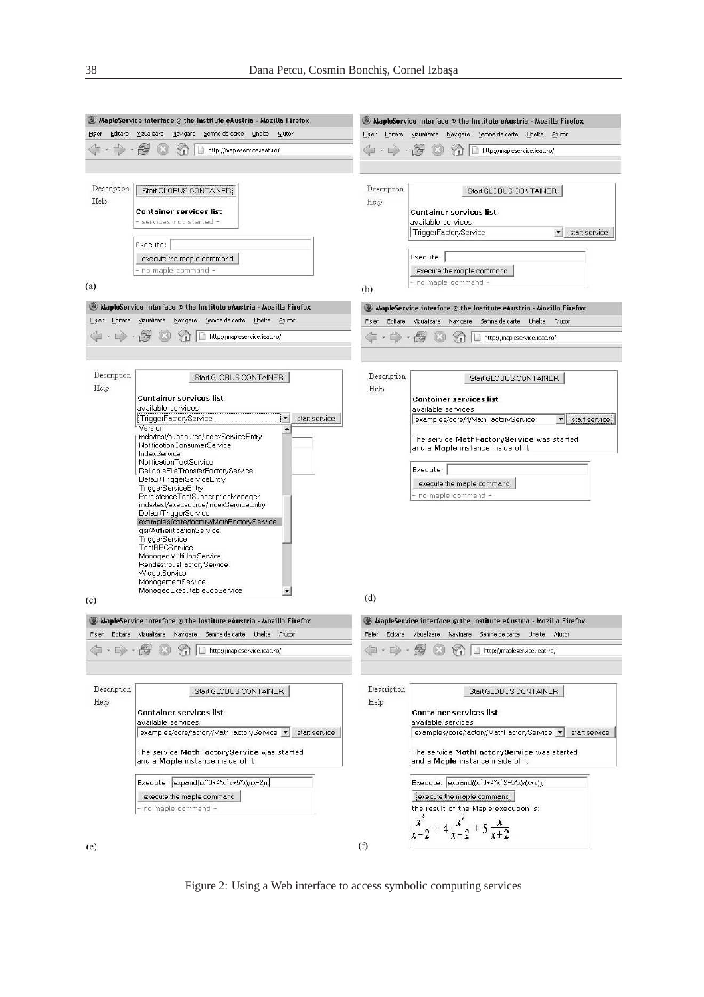|                                                                           | $\bullet$ MapleService interface $\circledcirc$ the Institute eAustria - Mozilla Firefox                                                                                                                                                                                                                                                                                                                                                                                                                                                                                                                                                                                                                                 |                                                                                  | $\bullet$ MapleService interface $\circledcirc$ the Institute eAustria - Mozilla Firefox                                                                                                                                                                                                                 |
|---------------------------------------------------------------------------|--------------------------------------------------------------------------------------------------------------------------------------------------------------------------------------------------------------------------------------------------------------------------------------------------------------------------------------------------------------------------------------------------------------------------------------------------------------------------------------------------------------------------------------------------------------------------------------------------------------------------------------------------------------------------------------------------------------------------|----------------------------------------------------------------------------------|----------------------------------------------------------------------------------------------------------------------------------------------------------------------------------------------------------------------------------------------------------------------------------------------------------|
| Vizualizare<br>Navigare Semne de carte Unelte Ajutor<br>Editare<br>Fisier |                                                                                                                                                                                                                                                                                                                                                                                                                                                                                                                                                                                                                                                                                                                          | Vizualizare Navigare<br>Semne de carte Unelte Ajutor<br><b>Fisier</b><br>Editare |                                                                                                                                                                                                                                                                                                          |
|                                                                           | http://mapleservice.ieat.ro/                                                                                                                                                                                                                                                                                                                                                                                                                                                                                                                                                                                                                                                                                             |                                                                                  | http://mapleservice.ieat.ro/                                                                                                                                                                                                                                                                             |
| Description<br>Help                                                       | Start GLOBUS CONTAINER<br>Container services list<br>services not started -<br>Execute:<br>execute the maple command<br>no maple command -                                                                                                                                                                                                                                                                                                                                                                                                                                                                                                                                                                               | Description<br>Help                                                              | Start GLOBUS CONTAINER<br><b>Container services list</b><br>available services<br>TriggerFactoryService<br>$\blacktriangledown$<br>start service<br>Execute:<br>execute the maple command                                                                                                                |
| (a)                                                                       |                                                                                                                                                                                                                                                                                                                                                                                                                                                                                                                                                                                                                                                                                                                          | (b)                                                                              | no maple command -                                                                                                                                                                                                                                                                                       |
|                                                                           | $\bullet$ MapleService interface $\circledcirc$ the Institute eAustria - Mozilla Firefox                                                                                                                                                                                                                                                                                                                                                                                                                                                                                                                                                                                                                                 |                                                                                  | $\bullet$ MapleService interface $\circledcirc$ the Institute eAustria - Mozilla Firefox                                                                                                                                                                                                                 |
| Eisier                                                                    | Editare Vizualizare Navigare Semne de carte Unelte Ajutor                                                                                                                                                                                                                                                                                                                                                                                                                                                                                                                                                                                                                                                                | Fisier<br>Editare                                                                | Vizualizare Navigare Semne de carte Unelte Ajutor                                                                                                                                                                                                                                                        |
|                                                                           | http://mapleservice.ieat.ro/                                                                                                                                                                                                                                                                                                                                                                                                                                                                                                                                                                                                                                                                                             |                                                                                  | http://mapleservice.ieat.ro/                                                                                                                                                                                                                                                                             |
| Description<br>Help<br>(c)                                                | Start GLOBUS CONTAINER<br><b>Container services list</b><br>available services<br>TriggerFactoryService<br>$\blacktriangledown$<br>start service<br>Version<br>mds/test/subsource/IndexServiceEntry<br>NotificationConsumerService<br>IndexService<br>NotificationTestService<br>ReliableFileTransferFactoryService<br>DefaultTriggerServiceEntry<br>TriggerServiceEntry<br>PersistenceTestSubscriptionManager<br>mds/test/execsource/IndexServiceEntry<br>DefaultTriggerService<br>examples/core/factory/MathFactoryService<br>gsi/AuthenticationService<br>TriggerService<br>TestRPCService<br>ManagedMultiJobService<br>RendezvousFactoryService<br>WidgetService<br>ManagementService<br>ManagedExecutableJobService | Description<br>Help<br>(d)                                                       | Start GLOBUS CONTAINER<br><b>Container services list</b><br>available services<br>examples/core/rl/MathFactoryService<br>start service<br>The service MathFactoryService was started<br>and a Maple instance inside of it<br>Execute:<br>execute the maple command<br>no maple command -                 |
|                                                                           | $\bullet$ MapleService interface $\circledcirc$ the Institute eAustria - Mozilla Firefox                                                                                                                                                                                                                                                                                                                                                                                                                                                                                                                                                                                                                                 |                                                                                  | $\bullet$ MapleService interface $\circledcirc$ the Institute eAustria - Mozilla Firefox                                                                                                                                                                                                                 |
| Fişier                                                                    | Editare Vizualizare Navigare Semne de carte Unelte Ajutor                                                                                                                                                                                                                                                                                                                                                                                                                                                                                                                                                                                                                                                                | Eişier                                                                           | Editare Vizualizare Navigare Semne-de-carte Unelte Ajutor                                                                                                                                                                                                                                                |
|                                                                           | http://mapleservice.ieat.ro/                                                                                                                                                                                                                                                                                                                                                                                                                                                                                                                                                                                                                                                                                             |                                                                                  | http://mapleservice.ieat.ro/                                                                                                                                                                                                                                                                             |
| Description<br>Help                                                       | Start GLOBUS CONTAINER<br><b>Container services list</b><br>available services.<br>examples/core/factory/MathFactoryService<br>start service<br>The service MathFactoryService was started<br>and a Maple instance inside of it<br>Execute: expand((x^3+4*x^2+5*x)/(x+2));<br>execute the maple command                                                                                                                                                                                                                                                                                                                                                                                                                  | Description<br>Help                                                              | Start GLOBUS CONTAINER<br><b>Container services list</b><br>available services<br>examples/core/factory/MathFactoryService v<br>start service<br>The service MathFactoryService was started<br>and a Maple instance inside of it<br>Execute: expand((x^3+4*x^2+5*x)/(x+2));<br>execute the maple command |
| (e)                                                                       | no maple command -                                                                                                                                                                                                                                                                                                                                                                                                                                                                                                                                                                                                                                                                                                       | (f)                                                                              | the result of the Maple execution is:<br>$\frac{x^3}{x+2}$ + 4 $\frac{x^2}{x+2}$ + 5 $\frac{x}{x+2}$                                                                                                                                                                                                     |

 $(e)$ 

Figure 2: Using a Web interface to access symbolic computing services